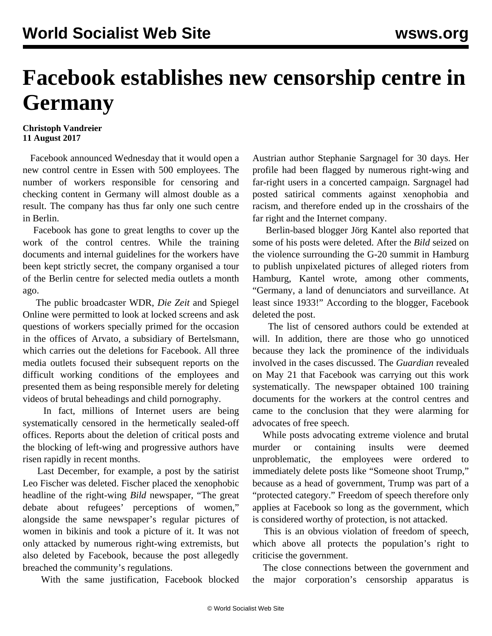## **Facebook establishes new censorship centre in Germany**

## **Christoph Vandreier 11 August 2017**

 Facebook announced Wednesday that it would open a new control centre in Essen with 500 employees. The number of workers responsible for censoring and checking content in Germany will almost double as a result. The company has thus far only one such centre in Berlin.

 Facebook has gone to great lengths to cover up the work of the control centres. While the training documents and internal guidelines for the workers have been kept strictly secret, the company organised a tour of the Berlin centre for selected media outlets a month ago.

 The public broadcaster WDR, *Die Zeit* and Spiegel Online were permitted to look at locked screens and ask questions of workers specially primed for the occasion in the offices of Arvato, a subsidiary of Bertelsmann, which carries out the deletions for Facebook. All three media outlets focused their subsequent reports on the difficult working conditions of the employees and presented them as being responsible merely for deleting videos of brutal beheadings and child pornography.

 In fact, millions of Internet users are being systematically censored in the hermetically sealed-off offices. Reports about the deletion of critical posts and the blocking of left-wing and progressive authors have risen rapidly in recent months.

 Last December, for example, a post by the satirist Leo Fischer was deleted. Fischer placed the xenophobic headline of the right-wing *Bild* newspaper, "The great debate about refugees' perceptions of women," alongside the same newspaper's regular pictures of women in bikinis and took a picture of it. It was not only attacked by numerous right-wing extremists, but also deleted by Facebook, because the post allegedly breached the community's regulations.

With the same justification, Facebook blocked

Austrian author Stephanie Sargnagel for 30 days. Her profile had been flagged by numerous right-wing and far-right users in a concerted campaign. Sargnagel had posted satirical comments against xenophobia and racism, and therefore ended up in the crosshairs of the far right and the Internet company.

 Berlin-based blogger Jörg Kantel also reported that some of his posts were deleted. After the *Bild* seized on the violence surrounding the G-20 summit in Hamburg to publish unpixelated pictures of alleged rioters from Hamburg, Kantel wrote, among other comments, "Germany, a land of denunciators and surveillance. At least since 1933!" According to the blogger, Facebook deleted the post.

 The list of censored authors could be extended at will. In addition, there are those who go unnoticed because they lack the prominence of the individuals involved in the cases discussed. The *Guardian* revealed on May 21 that Facebook was carrying out this work systematically. The newspaper obtained 100 training documents for the workers at the control centres and came to the conclusion that they were alarming for advocates of free speech.

 While posts advocating extreme violence and brutal murder or containing insults were deemed unproblematic, the employees were ordered to immediately delete posts like "Someone shoot Trump," because as a head of government, Trump was part of a "protected category." Freedom of speech therefore only applies at Facebook so long as the government, which is considered worthy of protection, is not attacked.

 This is an obvious violation of freedom of speech, which above all protects the population's right to criticise the government.

 The close connections between the government and the major corporation's censorship apparatus is